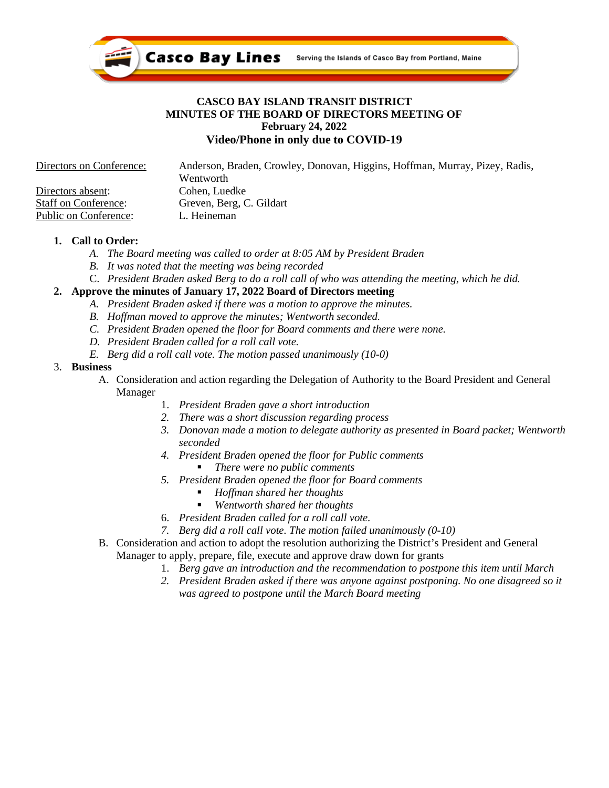

## **CASCO BAY ISLAND TRANSIT DISTRICT MINUTES OF THE BOARD OF DIRECTORS MEETING OF February 24, 2022 Video/Phone in only due to COVID-19**

| Directors on Conference:    | Anderson, Braden, Crowley, Donovan, Higgins, Hoffman, Murray, Pizey, Radis, |
|-----------------------------|-----------------------------------------------------------------------------|
|                             | Wentworth                                                                   |
| Directors absent:           | Cohen, Luedke                                                               |
| <b>Staff on Conference:</b> | Greven, Berg, C. Gildart                                                    |
| Public on Conference:       | L. Heineman                                                                 |

## **1. Call to Order:**

- *A. The Board meeting was called to order at 8:05 AM by President Braden*
- *B. It was noted that the meeting was being recorded*
- C. *President Braden asked Berg to do a roll call of who was attending the meeting, which he did.*

# **2. Approve the minutes of January 17, 2022 Board of Directors meeting**

- *A. President Braden asked if there was a motion to approve the minutes.*
- *B. Hoffman moved to approve the minutes; Wentworth seconded.*
- *C. President Braden opened the floor for Board comments and there were none.*
- *D. President Braden called for a roll call vote.*
- *E. Berg did a roll call vote. The motion passed unanimously (10-0)*

## 3. **Business**

- A. Consideration and action regarding the Delegation of Authority to the Board President and General Manager
	- 1. *President Braden gave a short introduction*
	- *2. There was a short discussion regarding process*
	- *3. Donovan made a motion to delegate authority as presented in Board packet; Wentworth seconded*
	- *4. President Braden opened the floor for Public comments*
		- *There were no public comments*
	- *5. President Braden opened the floor for Board comments*
		- *Hoffman shared her thoughts*
		- *Wentworth shared her thoughts*
	- 6. *President Braden called for a roll call vote.*
	- *7. Berg did a roll call vote. The motion failed unanimously (0-10)*
- B. Consideration and action to adopt the resolution authorizing the District's President and General Manager to apply, prepare, file, execute and approve draw down for grants
	- 1. *Berg gave an introduction and the recommendation to postpone this item until March*
	- *2. President Braden asked if there was anyone against postponing. No one disagreed so it was agreed to postpone until the March Board meeting*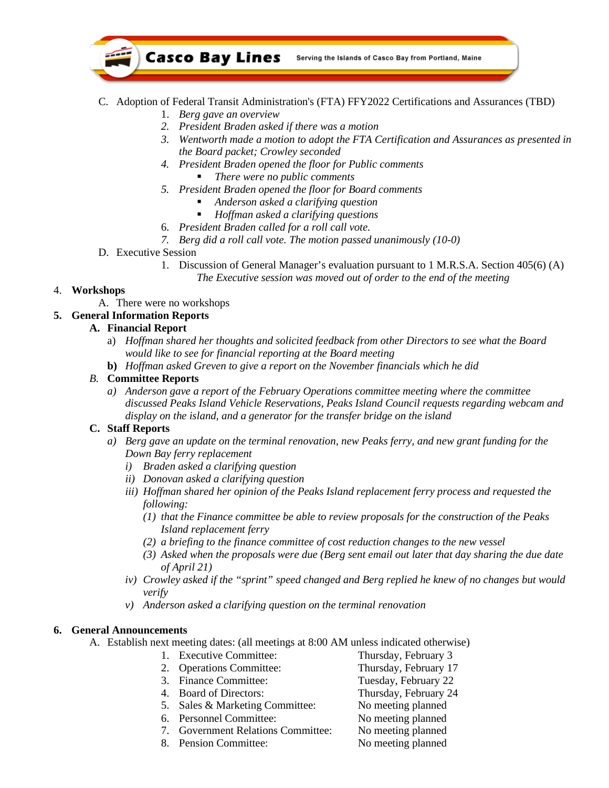

## C. Adoption of Federal Transit Administration's (FTA) FFY2022 Certifications and Assurances (TBD)

- 1. *Berg gave an overview*
- *2. President Braden asked if there was a motion*
- *3. Wentworth made a motion to adopt the FTA Certification and Assurances as presented in the Board packet; Crowley seconded*
- *4. President Braden opened the floor for Public comments There were no public comments*
- *5. President Braden opened the floor for Board comments*
	- *Anderson asked a clarifying question*
	- *Hoffman asked a clarifying questions*
- 6. *President Braden called for a roll call vote.*
- *7. Berg did a roll call vote. The motion passed unanimously (10-0)*
- D. Executive Session
	- 1. Discussion of General Manager's evaluation pursuant to 1 M.R.S.A. Section 405(6) (A) *The Executive session was moved out of order to the end of the meeting*

## 4. **Workshops**

A. There were no workshops

# **5. General Information Reports**

#### **A. Financial Report**

- a) *Hoffman shared her thoughts and solicited feedback from other Directors to see what the Board would like to see for financial reporting at the Board meeting*
- **b)** *Hoffman asked Greven to give a report on the November financials which he did*

## *B.* **Committee Reports**

*a) Anderson gave a report of the February Operations committee meeting where the committee discussed Peaks Island Vehicle Reservations, Peaks Island Council requests regarding webcam and display on the island, and a generator for the transfer bridge on the island*

#### **C. Staff Reports**

- *a) Berg gave an update on the terminal renovation, new Peaks ferry, and new grant funding for the Down Bay ferry replacement*
	- *i) Braden asked a clarifying question*
	- *ii) Donovan asked a clarifying question*
	- *iii) Hoffman shared her opinion of the Peaks Island replacement ferry process and requested the following:*
		- *(1) that the Finance committee be able to review proposals for the construction of the Peaks Island replacement ferry*
		- *(2) a briefing to the finance committee of cost reduction changes to the new vessel*
		- *(3) Asked when the proposals were due (Berg sent email out later that day sharing the due date of April 21)*
	- *iv) Crowley asked if the "sprint" speed changed and Berg replied he knew of no changes but would verify*
	- *v) Anderson asked a clarifying question on the terminal renovation*

# **6. General Announcements**

A. Establish next meeting dates: (all meetings at 8:00 AM unless indicated otherwise)

- 1. Executive Committee: Thursday, February 3 2. Operations Committee: Thursday, February 17
	- 3. Finance Committee: Tuesday, February 22
	-
	- 4. Board of Directors: Thursday, February 24 5. Sales & Marketing Committee: No meeting planned
	- 6. Personnel Committee: No meeting planned
	- 7. Government Relations Committee: No meeting planned
	- 8. Pension Committee: No meeting planned
- 
- -